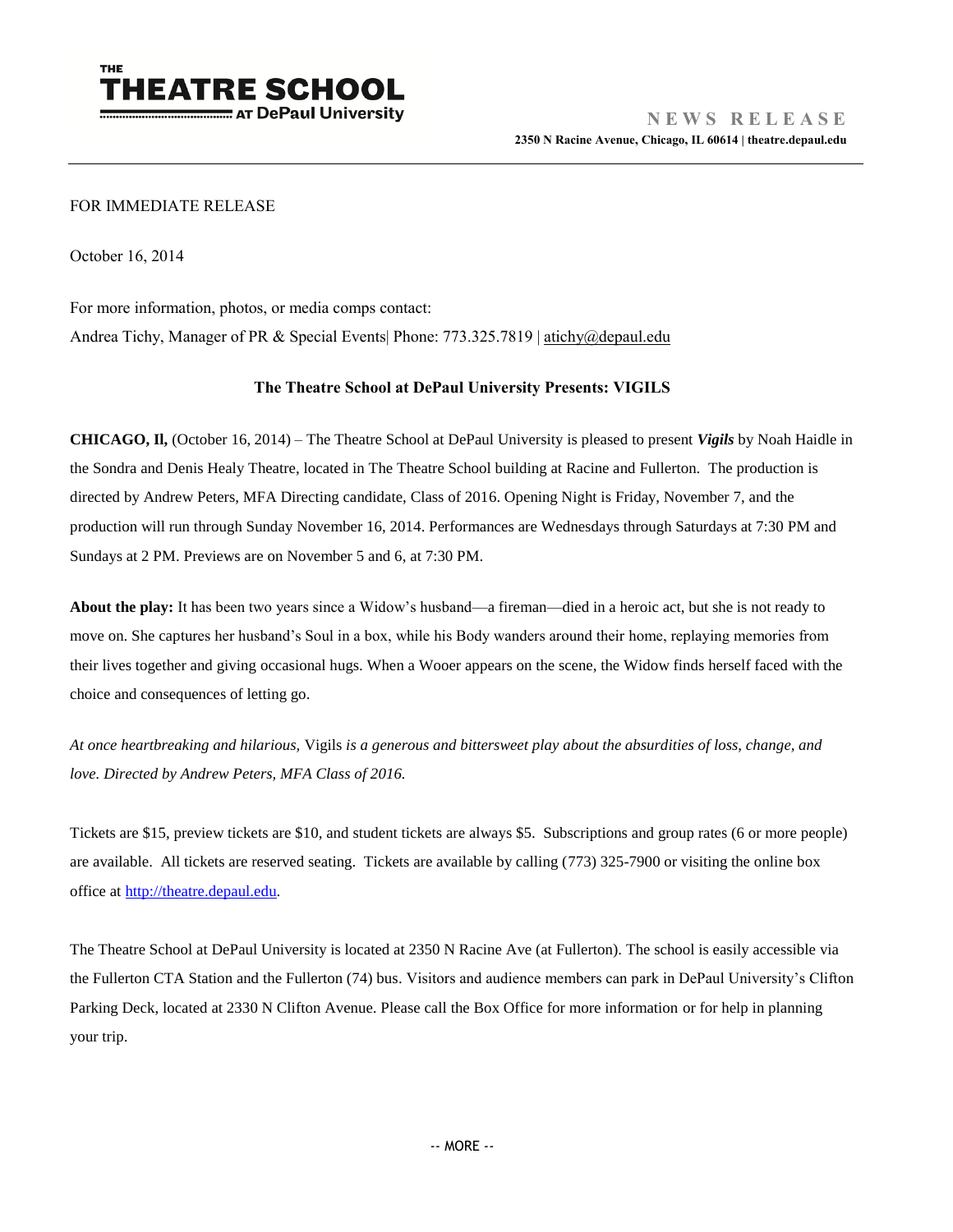

## FOR IMMEDIATE RELEASE

October 16, 2014

For more information, photos, or media comps contact:

Andrea Tichy, Manager of PR & Special Events| Phone: 773.325.7819 [| atichy@depaul.edu](mailto:atichy@depaul.edu)

## **The Theatre School at DePaul University Presents: VIGILS**

**CHICAGO, Il,** (October 16, 2014) – The Theatre School at DePaul University is pleased to present *Vigils* by Noah Haidle in the Sondra and Denis Healy Theatre, located in The Theatre School building at Racine and Fullerton. The production is directed by Andrew Peters, MFA Directing candidate, Class of 2016. Opening Night is Friday, November 7, and the production will run through Sunday November 16, 2014. Performances are Wednesdays through Saturdays at 7:30 PM and Sundays at 2 PM. Previews are on November 5 and 6, at 7:30 PM.

**About the play:** It has been two years since a Widow's husband—a fireman—died in a heroic act, but she is not ready to move on. She captures her husband's Soul in a box, while his Body wanders around their home, replaying memories from their lives together and giving occasional hugs. When a Wooer appears on the scene, the Widow finds herself faced with the choice and consequences of letting go.

*At once heartbreaking and hilarious,* Vigils *is a generous and bittersweet play about the absurdities of loss, change, and love. Directed by Andrew Peters, MFA Class of 2016.* 

Tickets are \$15, preview tickets are \$10, and student tickets are always \$5. Subscriptions and group rates (6 or more people) are available. All tickets are reserved seating. Tickets are available by calling (773) 325-7900 or visiting the online box office at [http://theatre.depaul.edu.](http://theatre.depaul.edu/)

The Theatre School at DePaul University is located at 2350 N Racine Ave (at Fullerton). The school is easily accessible via the Fullerton CTA Station and the Fullerton (74) bus. Visitors and audience members can park in DePaul University's Clifton Parking Deck, located at 2330 N Clifton Avenue. Please call the Box Office for more information or for help in planning your trip.